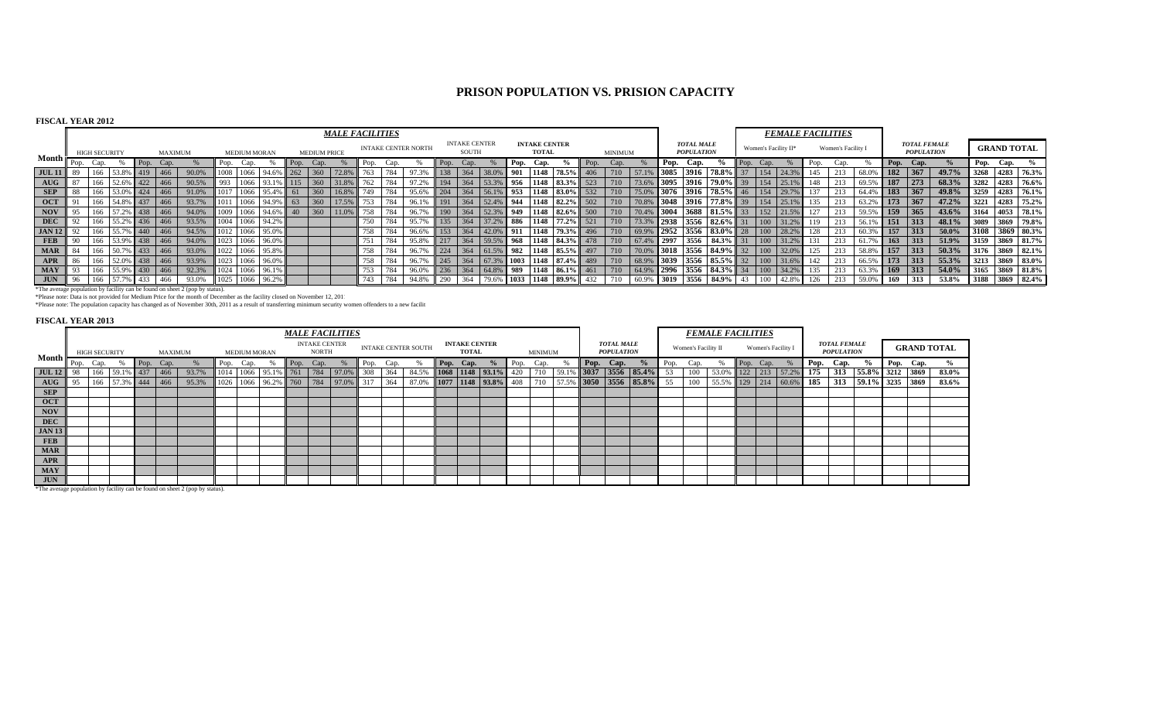# **PRISON POPULATION VS. PRISION CAPACITY**

## **FISCAL YEAR 2012**

|                  |      |                      |                   |      |                |                                                                                    |     |                     |                    |            |                     | <b>MALE FACILITIES</b> |      |      |                            |     |                                      |               |      |                                          |                |     |                |       |      |                                        |                                                                                              |      |                          | <b>FEMALE FACILITIES</b> |      |                    |           |                     |                                          |          |           |                    |                   |
|------------------|------|----------------------|-------------------|------|----------------|------------------------------------------------------------------------------------|-----|---------------------|--------------------|------------|---------------------|------------------------|------|------|----------------------------|-----|--------------------------------------|---------------|------|------------------------------------------|----------------|-----|----------------|-------|------|----------------------------------------|----------------------------------------------------------------------------------------------|------|--------------------------|--------------------------|------|--------------------|-----------|---------------------|------------------------------------------|----------|-----------|--------------------|-------------------|
|                  |      | <b>HIGH SECURITY</b> |                   |      | <b>MAXIMUM</b> |                                                                                    |     | <b>MEDIUM MORAN</b> |                    |            | <b>MEDIUM PRICE</b> |                        |      |      | <b>INTAKE CENTER NORTH</b> |     | <b>INTAKE CENTER</b><br><b>SOUTH</b> |               |      | <b>INTAKE CENTER</b><br><b>TOTAL</b>     |                |     | <b>MINIMUM</b> |       |      | <b>TOTAL MALE</b><br><b>POPULATION</b> |                                                                                              |      | Women's Facility $\Pi^*$ |                          |      | Women's Facility I |           |                     | <b>TOTAL FEMALE</b><br><b>POPULATION</b> |          |           | <b>GRAND TOTAL</b> |                   |
| Month $\vdash$   | Pop. |                      |                   | Pop. | Cap.           |                                                                                    |     |                     |                    | ll Pop.    | Cap.                |                        | Pop. | Cap) |                            | Pop |                                      |               | Pop. | Cap.                                     |                | Pop | ∟ap.           |       | Pop. | Cap.                                   |                                                                                              | Pop. | Cap.                     |                          | Pop. | Cap.               |           | $\blacksquare$ Pop. | Cap.                                     |          | Pop. Cap. |                    |                   |
| <b>JUL 11</b>    |      | 166                  | 53.8% 419         |      | 1466           | 90.0%                                                                              |     | 1008 1066           | 94.6% 262          |            |                     |                        |      | 784  |                            | 138 | 364                                  | 38.09         | 901  | 1148                                     | $178.5\%$      | 406 | 710            |       |      | 6 3085 3916                            | $-178.8\%$ in $-$                                                                            |      | 154                      | 124.39                   | 145  | 213                | 68.09     | $\vert$ 182         | 367                                      | 49.7%    |           |                    | 3268 4283 76.3%   |
| $A\overline{U}G$ |      |                      | 166 52.6% 422 466 |      |                | 90.5%                                                                              | 993 |                     | 1066 93.1% 115     |            | 360                 |                        | 762  | 784  | 97.2%                      | 194 |                                      |               | 1956 |                                          | 1148 83.3% 523 |     | 710            |       |      |                                        | 73.6% 3095 3916 79.0%                                                                        | 39   | 154                      | 125.19                   | 148  | 213                | 69.5% 187 |                     | 273                                      | 68.3%    |           |                    | 3282 4283 76.6%   |
| <b>SEP</b>       |      | 166                  | 53.0% 424         |      | 1466           | 91.0%                                                                              |     | 1066                | 95.4%              | $\vert$ 61 | 360                 |                        | 749  | 784  | 95.6%                      | 204 | 364                                  | 56.1% 953     |      |                                          | 1148 83.0%     | 532 | 710            |       |      |                                        | 75.0% 3076 3916 78.5%                                                                        | 46   | 154                      | 29.79                    | 137  | 213                | 64.4% 183 |                     | $-367$                                   | 49.8%    |           |                    | $3259$ 4283 76.1% |
| <b>OCT</b>       |      |                      | 166 54.8% 437     | 466  |                | 93.7%                                                                              |     |                     | 1011 1066 94.9% 63 |            | 360                 |                        | 753  | 784  | 96.1%                      | 191 | 364                                  | 52.4% 944     |      |                                          | 1148 82.2% 502 |     | 710            |       |      | 70.8% 3048 3916                        | $177.8\%$                                                                                    |      | 154                      | 125.1'                   | 135  | 213                | 63.2% 173 |                     | 367                                      | 47.2%    |           |                    | 3221 4283 75.2%   |
| <b>NOV</b>       |      |                      | 166 57.2% 438     |      | 1466           | 94.0%                                                                              |     |                     | 1009 1066 94.6% 40 |            | 360                 | 11.0%                  | 758  | 784  | 96.7%                      | 190 | 364                                  | 52.3% 949     |      |                                          | 1148 82.6% 500 |     | 710            |       |      |                                        | $70.4\%$ 3004 3688 81.5%                                                                     | 33   | 152                      | 21.5%                    | 127  | 213                | 59.5% 159 |                     | 365                                      | 43.6%    |           |                    | 3164 4053 78.1%   |
| <b>DEC</b>       |      |                      | 166 55.2% 436 466 |      |                | 93.5%                                                                              |     |                     | 1004 1066 94.2%    |            |                     |                        | 750  | 784  | 95.7%                      | 135 | 364                                  | 37.2% 886     |      |                                          | 1148 77.2% 521 |     | 710            |       |      |                                        | 73.3% 2938 3556 82.6%                                                                        |      | $\mid$ 100               | 131.2%                   | 119  | 213                | 56.1% 151 |                     | 313                                      | 48.1%    |           |                    | 3089 3869 79.8%   |
| <b>JAN 12</b>    |      |                      | 166 55.7% 440     |      | $-1466$        | 94.5%                                                                              |     |                     | 1012 1066 95.0%    |            |                     |                        | 758  | 784  | 96.6%                      | 153 | 364                                  |               |      | $\mid$ 42.0% 911 1148 79.3% 496          |                |     | 710            |       |      |                                        | $\begin{array}{ c c c c c c c c c } \hline 69.9\% & 2952 & 3556 & 83.0\% \hline \end{array}$ | 28   | 100                      |                          | 128  | 213                | 60.3%     | $\parallel$ 157     | 313                                      | $50.0\%$ |           |                    | 3108 3869 80.3%   |
| <b>FEB</b>       | 90   |                      | 166 53.9% 438     |      | $-1466$        | 94.0%                                                                              |     |                     | 1023 1066 96.0%    |            |                     |                        | 751  | 784  | 95.8%                      | 217 | 364                                  |               |      | 59.5% 968 1148 84.3% 478                 |                |     | 710            | 67.4% | 2997 | 3556                                   | 84.3%                                                                                        |      | 100                      |                          |      | 213                | 61.79     | $\blacksquare$ 163  | 313                                      | 51.9%    |           |                    | 3159 3869 81.7%   |
| <b>MAR</b>       |      |                      | 166 50.7% 433     |      | 466            | 93.0%                                                                              |     |                     | 1022 1066 95.8%    |            |                     |                        | 758  | 784  | 96.7%                      | 224 | 364                                  |               |      | $\mid$ 61.5%   982   1148   85.5%   497  |                |     | 710            |       |      |                                        | 70.0% 3018 3556 84.9%                                                                        | 32   |                          | 100 32.0%                | 125  | 213                | 58.8% 157 |                     | 313                                      | 50.3%    |           |                    | 3176 3869 82.1%   |
| <b>APR</b>       |      | 166                  | 52.0% 438 466     |      |                | 93.9%                                                                              |     |                     | 1023 1066 96.0%    |            |                     |                        | 758  | 784  | 96.7%                      | 245 | 364                                  |               |      | $\mid$ 67.3%   1003   1148   87.4%   489 |                |     | 710            |       |      |                                        | $\mid$ 68.9% 3039 3556 85.5%                                                                 | 32   | $\vert$ 100              | 31.6%                    | 142  | 213                | 66.5% 173 |                     | $-1313$                                  | 55.3%    |           |                    | 3213 3869 83.0%   |
| <b>MAY</b>       |      |                      | 166 55.9% 430 466 |      |                | 92.3%                                                                              |     |                     | 1024 1066 96.1%    |            |                     |                        | 753  | 784  | 96.0%                      | 236 |                                      | 364 64.8% 989 |      | 1148 86.1% 461                           |                |     | 710            |       |      |                                        | $\mid$ 64.9% 2996 3556 84.3% 34                                                              |      |                          | $100$ 34.2%              | 135  | 213                | 63.3%     | i 169               | $-1313$                                  | 54.0%    |           |                    | $3165$ 3869 81.8% |
| <b>JUN</b>       | 96   | 166                  | 57.7% 433         |      | 466            | 93.0%                                                                              |     |                     | 1025 1066 96.2%    |            |                     |                        | 743  | 784  | 94.8%                      | 290 | 364                                  |               |      | 79.6% 1033 1148 89.9% 432                |                |     | 710            |       |      |                                        | 60.9% 3019 3556 84.9% 43                                                                     |      | 100                      | 42.8%                    | 126  | 213                | 59.0%     | 169                 |                                          | 53.8%    |           |                    | 3188 3869 82.4%   |
|                  |      |                      |                   |      |                | <b>SThe express nonplotion by facility can be found on chect 3 (non by status)</b> |     |                     |                    |            |                     |                        |      |      |                            |     |                                      |               |      |                                          |                |     |                |       |      |                                        |                                                                                              |      |                          |                          |      |                    |           |                     |                                          |          |           |                    |                   |

\*The average population by facility can be found on sheet 2 (pop by status).<br>\*Please note: Data is not provided for Medium Price for the month of December as the facility closed on November 12, 201:<br>\*Please note: The popul

## **FISCAL YEAR 2013**

|                                    | <b>MALE FACILITIES</b> |                      |                   |      |                |       |      |                     |                         |      |                                      |          |      |      |                            |                                      |                     |      |                |       |                                        |                       |      |                     | <b>FEMALE FACILITIES</b> |      |                    |                         |      |                                          |                 |           |      |                    |
|------------------------------------|------------------------|----------------------|-------------------|------|----------------|-------|------|---------------------|-------------------------|------|--------------------------------------|----------|------|------|----------------------------|--------------------------------------|---------------------|------|----------------|-------|----------------------------------------|-----------------------|------|---------------------|--------------------------|------|--------------------|-------------------------|------|------------------------------------------|-----------------|-----------|------|--------------------|
|                                    |                        | <b>HIGH SECURITY</b> |                   |      | <b>MAXIMUM</b> |       |      | <b>MEDIUM MORAN</b> |                         |      | <b>INTAKE CENTER</b><br><b>NORTH</b> |          |      |      | <b>INTAKE CENTER SOUTH</b> | <b>INTAKE CENTER</b><br><b>TOTAL</b> |                     |      | <b>MINIMUM</b> |       | <b>TOTAL MALE</b><br><b>POPULATION</b> |                       |      | Women's Facility II |                          |      | Women's Facility I |                         |      | <b>TOTAL FEMALE</b><br><b>POPULATION</b> |                 |           |      | <b>GRAND TOTAL</b> |
| Month $\blacktriangleright$        | Pop.                   | Cap.                 |                   | Pop. | Cap.           |       | Pop. | Cap.                |                         | Pop. | Cap.                                 |          | Pop. | Cap. |                            | Pop. Cap.                            | $\frac{6}{9}$       | Pop. | Cap.           |       | Pop. Cap.                              | $\%$                  | Pop. | Cap.                |                          | Pop. | Cap.               |                         | Pop. | Cap.                                     | $\%$            | Pop. Cap. |      |                    |
| <b>JUL 12</b>                      |                        | 166                  | 59.1% 437         |      | $466$          | 93.7% |      | 1066                | 95.1% 761               |      | 784                                  | $97.0\%$ | 308  | 364  | 84.5%                      |                                      | 1068 1148 93.1%     | 420  | 710            | 59.1% |                                        | $6$ 3037 3556 85.4%   | 53   | 100                 | 53.0%                    |      | $122$ 213          | 57.2%                   | 175  | 313                                      | 55.8% 3212 3869 |           |      | 83.0%              |
| $\mathbf{A} \mathbf{U} \mathbf{G}$ |                        |                      | 166 57.3% 444 466 |      |                | 95.3% |      |                     | 1026 1066 96.2% 760 784 |      |                                      | $97.0\%$ | 317  | 364  | 87.0%                      |                                      | 1077 1148 93.8% 408 |      | 710            |       |                                        | 57.5% 3050 3556 85.8% | 55   | 100                 |                          |      |                    | 55.5% 129 214 60.6% 185 |      | 313                                      | 59.1% 3235      |           | 3869 | 83.6%              |
| <b>SEP</b>                         |                        |                      |                   |      |                |       |      |                     |                         |      |                                      |          |      |      |                            |                                      |                     |      |                |       |                                        |                       |      |                     |                          |      |                    |                         |      |                                          |                 |           |      |                    |
| <b>OCT</b>                         |                        |                      |                   |      |                |       |      |                     |                         |      |                                      |          |      |      |                            |                                      |                     |      |                |       |                                        |                       |      |                     |                          |      |                    |                         |      |                                          |                 |           |      |                    |
| NOV                                |                        |                      |                   |      |                |       |      |                     |                         |      |                                      |          |      |      |                            |                                      |                     |      |                |       |                                        |                       |      |                     |                          |      |                    |                         |      |                                          |                 |           |      |                    |
| <b>DEC</b>                         |                        |                      |                   |      |                |       |      |                     |                         |      |                                      |          |      |      |                            |                                      |                     |      |                |       |                                        |                       |      |                     |                          |      |                    |                         |      |                                          |                 |           |      |                    |
| <b>JAN 13</b>                      |                        |                      |                   |      |                |       |      |                     |                         |      |                                      |          |      |      |                            |                                      |                     |      |                |       |                                        |                       |      |                     |                          |      |                    |                         |      |                                          |                 |           |      |                    |
| <b>FEB</b>                         |                        |                      |                   |      |                |       |      |                     |                         |      |                                      |          |      |      |                            |                                      |                     |      |                |       |                                        |                       |      |                     |                          |      |                    |                         |      |                                          |                 |           |      |                    |
| <b>MAR</b>                         |                        |                      |                   |      |                |       |      |                     |                         |      |                                      |          |      |      |                            |                                      |                     |      |                |       |                                        |                       |      |                     |                          |      |                    |                         |      |                                          |                 |           |      |                    |
| APR                                |                        |                      |                   |      |                |       |      |                     |                         |      |                                      |          |      |      |                            |                                      |                     |      |                |       |                                        |                       |      |                     |                          |      |                    |                         |      |                                          |                 |           |      |                    |
| <b>MAY</b>                         |                        |                      |                   |      |                |       |      |                     |                         |      |                                      |          |      |      |                            |                                      |                     |      |                |       |                                        |                       |      |                     |                          |      |                    |                         |      |                                          |                 |           |      |                    |
| <b>JUN</b>                         |                        |                      |                   |      |                |       |      |                     |                         |      |                                      |          |      |      |                            |                                      |                     |      |                |       |                                        |                       |      |                     |                          |      |                    |                         |      |                                          |                 |           |      |                    |

\*The average population by facility can be found on sheet 2 (pop by status).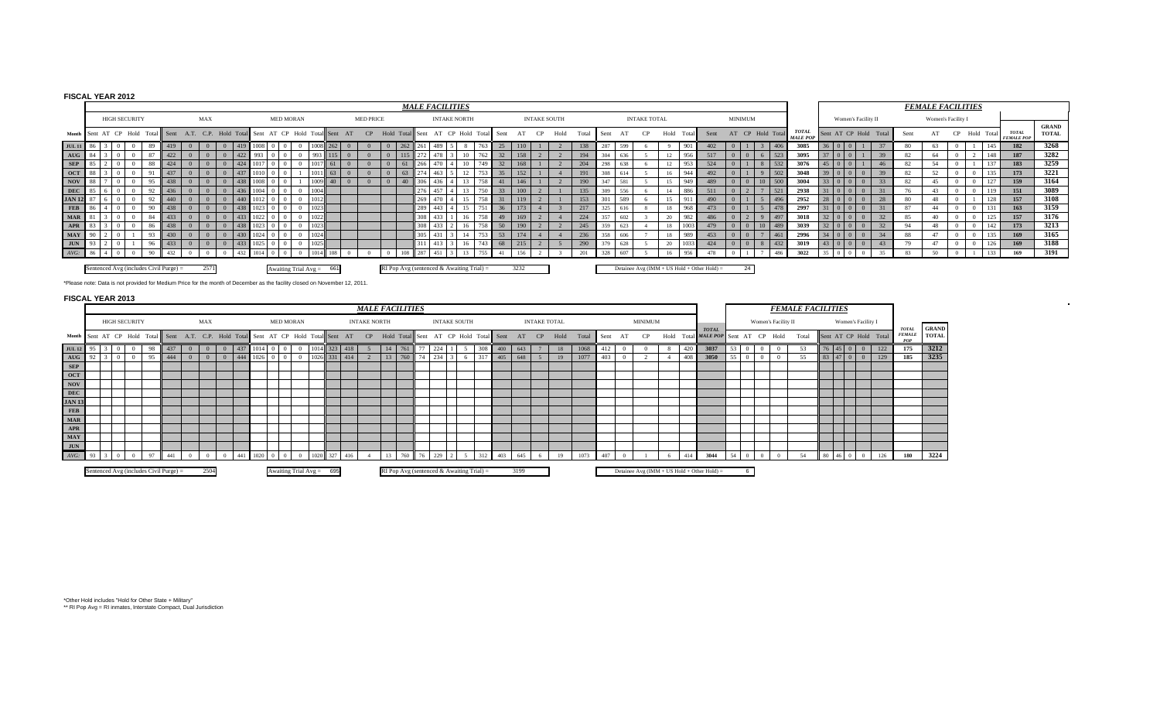## **FISCAL YEAR 2012**

|                                                                                                                            |                                                                                                                |                                                                                                                                                                                            |     |  |     |  |     |     |  |                            |         |           |    |                  |                | <b>MALE FACILITIES</b>           |                  |     |                     |          |          |     |          |                     |       |         |     |                     |    |             |     |      |              |                |                   |                                 |    |                     |                       |      | <b>FEMALE FACILITIES</b> |            |                |     |                                   |                              |
|----------------------------------------------------------------------------------------------------------------------------|----------------------------------------------------------------------------------------------------------------|--------------------------------------------------------------------------------------------------------------------------------------------------------------------------------------------|-----|--|-----|--|-----|-----|--|----------------------------|---------|-----------|----|------------------|----------------|----------------------------------|------------------|-----|---------------------|----------|----------|-----|----------|---------------------|-------|---------|-----|---------------------|----|-------------|-----|------|--------------|----------------|-------------------|---------------------------------|----|---------------------|-----------------------|------|--------------------------|------------|----------------|-----|-----------------------------------|------------------------------|
|                                                                                                                            | <b>HIGH SECURITY</b>                                                                                           |                                                                                                                                                                                            |     |  | MAX |  |     |     |  | <b>MED MORAN</b>           |         |           |    | <b>MED PRICE</b> |                |                                  |                  |     | <b>INTAKE NORTH</b> |          |          |     |          | <b>INTAKE SOUTH</b> |       |         |     | <b>INTAKE TOTAL</b> |    |             |     |      |              | <b>MINIMUM</b> |                   |                                 |    | Women's Facility II |                       |      | Women's Facility I       |            |                |     |                                   |                              |
|                                                                                                                            |                                                                                                                | Month Sent AT CP Hold Total Sent A.T. C.P. Hold Total                                                                                                                                      |     |  |     |  |     |     |  | Sent AT CP Hold Total Sent |         |           | AT | CP               |                | Hold Total Sent AT CP Hold Total |                  |     |                     |          | Sent     | AT  | CP       | Hold                | Total | ll Sent | AT  |                     | CP | Hold        |     | Sent |              |                | AT CP Hold Total  | <b>TOTAL</b><br><b>MALE POP</b> |    |                     | Sent AT CP Hold Total | Sent | AT                       |            | CP Hold Total  |     | <b>TOTAL</b><br><b>FEMALE POP</b> | <b>GRAND</b><br><b>TOTAL</b> |
| JUL 11 86                                                                                                                  |                                                                                                                | -89                                                                                                                                                                                        | 419 |  |     |  | 419 |     |  | $\Omega$                   | 11008   |           |    | $\Omega$         | $0 \mid 262$   |                                  | 261 489          |     |                     | 763      | 25       | 110 |          |                     | 138   | 287     | 599 |                     |    | $\mathbf Q$ | 901 | 402  | $\Omega$     |                | 1406              | 3085                            |    | $01$ 0              |                       | 80   | 63                       |            |                | 145 | 182                               | 3268                         |
| $AUG$ 8                                                                                                                    |                                                                                                                | 87                                                                                                                                                                                         | 422 |  |     |  | 422 | 993 |  | $\Omega$                   | 993 115 |           |    | $\Omega$         | $0 \t 115$     |                                  | 272              |     | 10                  | 762      | 32       | 158 |          |                     | 194   | 304     | 636 |                     |    | 12          | 956 | 517  | $\mathbf{0}$ |                | $6 \mid 523$      | 3095                            | 37 | $\Omega$            | -39                   | 82   | -64                      | $\Omega$   | $\overline{2}$ | 148 | 187                               | 3282                         |
| <b>SEP</b>                                                                                                                 |                                                                                                                |                                                                                                                                                                                            | 424 |  |     |  | 424 |     |  |                            |         |           |    |                  | $\Omega$       | 61                               | 266              | 470 |                     |          | 32       | 168 |          |                     | 204   | 298     | 638 |                     |    | 12          | 953 | 524  |              |                | 532               | 3076                            | 45 |                     | 46                    | 82   |                          |            |                |     | 183                               | 3259                         |
| OCT 88                                                                                                                     |                                                                                                                |                                                                                                                                                                                            | 437 |  |     |  | 437 |     |  |                            |         | $1 \, 63$ |    | $\Omega$         | $\overline{0}$ |                                  | 274              | 463 | 12                  |          | 35       | 152 |          |                     | 191   | 308     | 614 |                     |    | 16          | 944 | 492  | $\Omega$     |                | $\frac{1}{2}$ 502 | 3048                            | 39 |                     | 39                    | 82   | 52                       | $\Omega$   |                | 135 | 173                               | 3221                         |
| <b>NOV</b>                                                                                                                 |                                                                                                                |                                                                                                                                                                                            |     |  |     |  |     |     |  |                            | 1009    |           |    |                  | $\Omega$       |                                  | 306              |     |                     |          | 41       | 146 |          |                     | 190   | 347     | 581 |                     |    | 15          | 949 | 489  |              |                | $10 \mid 500$     | 3004                            |    |                     |                       | 82   |                          |            |                |     | 159                               | 3164                         |
| <b>DEC</b>                                                                                                                 |                                                                                                                |                                                                                                                                                                                            | 436 |  |     |  | 436 |     |  | $\overline{0}$             | 1004    |           |    |                  |                |                                  | 276              |     |                     | 750      | 33       | 100 |          |                     | 135   | 309     | 556 |                     |    | 14          | 886 |      |              |                | 1521              | 2938                            |    |                     |                       |      |                          | $^{\circ}$ |                | 119 | 151                               | 3089                         |
| JAN 1                                                                                                                      |                                                                                                                |                                                                                                                                                                                            |     |  |     |  | 440 |     |  | $\Omega$                   | 1012    |           |    |                  |                |                                  | 269              |     |                     |          |          | 119 |          |                     | 153   | 301     | 589 |                     |    | 15          | 911 | 490  |              |                | 496               | 2952                            |    |                     | 28                    | 80   |                          |            |                |     | 157                               | 3108                         |
| <b>FEB</b>                                                                                                                 |                                                                                                                |                                                                                                                                                                                            |     |  |     |  | 438 |     |  | $\Omega$                   |         |           |    |                  |                |                                  | 289 443          |     |                     |          | 36       | 173 |          |                     | 217   | 325     | 61  |                     |    | 18          | 968 |      |              |                | 478               | 2997                            |    |                     |                       | 87   |                          | - 0        |                |     | 163                               | 3159                         |
| <b>MAR</b> 81                                                                                                              |                                                                                                                |                                                                                                                                                                                            | 433 |  |     |  | 433 |     |  | $\Omega$                   | 1022    |           |    |                  |                |                                  | 308 <sup>1</sup> | 433 | 16                  | 758      | 49       | 169 | $\gamma$ |                     | 224   | 357     | 602 |                     |    | 20          | 982 | 486  | $\Omega$     |                | 497               | 3018                            | 22 |                     | 32                    | 85   | 40                       | $\Omega$   |                | 125 | 157                               | 3176                         |
| APR                                                                                                                        |                                                                                                                |                                                                                                                                                                                            |     |  |     |  |     |     |  |                            |         |           |    |                  |                |                                  | 308              |     |                     |          | 50       | 190 |          |                     | 245   | 359     | 623 |                     |    | 18          |     |      | $\Omega$     |                | 10 489            | 3039                            |    |                     |                       |      | 48                       |            |                | 142 | 173                               | 3213                         |
| <b>MAY</b>                                                                                                                 | 305<br>236<br>358<br>1024<br>53<br>174<br>18<br>453<br>461<br>430<br>$\Omega$<br>606<br>- 989<br>$\Omega$      |                                                                                                                                                                                            |     |  |     |  |     |     |  |                            |         |           |    |                  | 2996           | 34                               |                  | 34  | 88                  | A7       | $\Omega$ |     | 135      | 169                 | 3165  |         |     |                     |    |             |     |      |              |                |                   |                                 |    |                     |                       |      |                          |            |                |     |                                   |                              |
| <b>JUN</b>                                                                                                                 | 432<br>433<br>1025<br>290<br>379<br>20<br>1033<br>424<br>68<br>$\Omega$<br>215<br>628<br>$\Omega$<br>433<br>16 |                                                                                                                                                                                            |     |  |     |  |     |     |  |                            |         |           |    | 3019             |                |                                  | 43               | 79  |                     | $\Omega$ |          | 126 | 169      | 3188                |       |         |     |                     |    |             |     |      |              |                |                   |                                 |    |                     |                       |      |                          |            |                |     |                                   |                              |
| $AVG$ : 86                                                                                                                 | 287<br>328<br>956<br>432<br>201<br>16<br>478<br>486<br>607<br>156<br>Q                                         |                                                                                                                                                                                            |     |  |     |  |     |     |  |                            |         |           |    |                  | 3022           |                                  |                  |     | 83                  | 50       |          |     | 133      | 169                 | 3191  |         |     |                     |    |             |     |      |              |                |                   |                                 |    |                     |                       |      |                          |            |                |     |                                   |                              |
|                                                                                                                            |                                                                                                                | RI Pop Avg (sentenced & Awaiting Trial) =<br>3232<br>Sentenced Avg (includes Civil Purge) =<br>Detainee Avg ( $IMM + US$ Hold + Other Hold) =<br>Awaiting Trial $Avg = 661$<br>2571<br>-24 |     |  |     |  |     |     |  |                            |         |           |    |                  |                |                                  |                  |     |                     |          |          |     |          |                     |       |         |     |                     |    |             |     |      |              |                |                   |                                 |    |                     |                       |      |                          |            |                |     |                                   |                              |
| *Please note: Data is not provided for Medium Price for the month of December as the facility closed on November 12, 2011. |                                                                                                                |                                                                                                                                                                                            |     |  |     |  |     |     |  |                            |         |           |    |                  |                |                                  |                  |     |                     |          |          |     |          |                     |       |         |     |                     |    |             |     |      |              |                |                   |                                 |    |                     |                       |      |                          |            |                |     |                                   |                              |
| <b>FISCAL YEAR 2013</b>                                                                                                    |                                                                                                                |                                                                                                                                                                                            |     |  |     |  |     |     |  |                            |         |           |    |                  |                |                                  |                  |     |                     |          |          |     |          |                     |       |         |     |                     |    |             |     |      |              |                |                   |                                 |    |                     |                       |      |                          |            |                |     |                                   |                              |

#### **FISCAL YEAR 2013**

|                                                                                     |                      |  |    |                                        |                |                |     |      |                            |                  |          |      |         |     | <b>MALE FACILITIES</b> |    |                                           |    |     |                     |     |                       |         |                     |      |       |      |    |                |     |                                                |      |   |                     | <b>FEMALE FACILITIES</b> |    |              |                    |                       |                                      |                              |
|-------------------------------------------------------------------------------------|----------------------|--|----|----------------------------------------|----------------|----------------|-----|------|----------------------------|------------------|----------|------|---------|-----|------------------------|----|-------------------------------------------|----|-----|---------------------|-----|-----------------------|---------|---------------------|------|-------|------|----|----------------|-----|------------------------------------------------|------|---|---------------------|--------------------------|----|--------------|--------------------|-----------------------|--------------------------------------|------------------------------|
|                                                                                     | <b>HIGH SECURITY</b> |  |    |                                        | MAX            |                |     |      |                            | <b>MED MORAN</b> |          |      |         |     | <b>INTAKE NORTH</b>    |    |                                           |    |     | <b>INTAKE SOUTH</b> |     |                       |         | <b>INTAKE TOTAL</b> |      |       |      |    | <b>MINIMUM</b> |     |                                                |      |   | Women's Facility II |                          |    |              | Women's Facility I |                       |                                      |                              |
| Month Sent AT CP Hold Total Sent A.T. C.P. Hold Total Sent AT CP Hold Total Sent AT |                      |  |    |                                        |                |                |     |      |                            |                  |          |      |         |     | CP Hold Total Sent     |    |                                           |    |     |                     |     | AT CP Hold Total Sent | AT      | CP                  | Hold | Total | Sent | AT | CP             |     | <b>TOTAL</b><br>Hold Total MALE POP Sent       |      |   | AT CP Hold          | Total                    |    |              |                    | Sent AT CP Hold Total | <b>TOTAL</b><br><b>FEMALE</b><br>POP | <b>GRAND</b><br><b>TOTAL</b> |
| $\mathbf{JUL}$ 12                                                                   |                      |  | 98 | 437                                    |                | $\mathbf{0}$   | 437 |      |                            |                  |          | 1014 | 323 418 |     |                        | 14 | 761                                       |    | 224 |                     | 308 | 400                   | 643     |                     | 18   | 1068  | 412  |    |                | 420 | 3037                                           | - 53 |   |                     | 53                       |    |              |                    | 122                   | 175                                  | 3212                         |
| AUG                                                                                 |                      |  |    | 444                                    | $\overline{0}$ | $\overline{0}$ | 444 | 1026 |                            |                  |          | 1026 | 331 414 |     |                        | 13 | 760                                       |    | 234 | -6                  | 317 |                       | 405 648 | $\sqrt{5}$          | 19   | 1077  | 403  |    |                | 408 | 3050                                           | -55  |   |                     |                          |    |              | 83 47 0 0          | 129                   | 185                                  | 3235                         |
| <b>SEP</b>                                                                          |                      |  |    |                                        |                |                |     |      |                            |                  |          |      |         |     |                        |    |                                           |    |     |                     |     |                       |         |                     |      |       |      |    |                |     |                                                |      |   |                     |                          |    |              |                    |                       |                                      |                              |
| OCT                                                                                 |                      |  |    |                                        |                |                |     |      |                            |                  |          |      |         |     |                        |    |                                           |    |     |                     |     |                       |         |                     |      |       |      |    |                |     |                                                |      |   |                     |                          |    |              |                    |                       |                                      |                              |
| NOV                                                                                 |                      |  |    |                                        |                |                |     |      |                            |                  |          |      |         |     |                        |    |                                           |    |     |                     |     |                       |         |                     |      |       |      |    |                |     |                                                |      |   |                     |                          |    |              |                    |                       |                                      |                              |
| DEC                                                                                 |                      |  |    |                                        |                |                |     |      |                            |                  |          |      |         |     |                        |    |                                           |    |     |                     |     |                       |         |                     |      |       |      |    |                |     |                                                |      |   |                     |                          |    |              |                    |                       |                                      |                              |
| <b>JAN 13</b>                                                                       |                      |  |    |                                        |                |                |     |      |                            |                  |          |      |         |     |                        |    |                                           |    |     |                     |     |                       |         |                     |      |       |      |    |                |     |                                                |      |   |                     |                          |    |              |                    |                       |                                      |                              |
| <b>FEB</b>                                                                          |                      |  |    |                                        |                |                |     |      |                            |                  |          |      |         |     |                        |    |                                           |    |     |                     |     |                       |         |                     |      |       |      |    |                |     |                                                |      |   |                     |                          |    |              |                    |                       |                                      |                              |
| $\mathbf{MAR}$                                                                      |                      |  |    |                                        |                |                |     |      |                            |                  |          |      |         |     |                        |    |                                           |    |     |                     |     |                       |         |                     |      |       |      |    |                |     |                                                |      |   |                     |                          |    |              |                    |                       |                                      |                              |
| APR                                                                                 |                      |  |    |                                        |                |                |     |      |                            |                  |          |      |         |     |                        |    |                                           |    |     |                     |     |                       |         |                     |      |       |      |    |                |     |                                                |      |   |                     |                          |    |              |                    |                       |                                      |                              |
| MAY                                                                                 |                      |  |    |                                        |                |                |     |      |                            |                  |          |      |         |     |                        |    |                                           |    |     |                     |     |                       |         |                     |      |       |      |    |                |     |                                                |      |   |                     |                          |    |              |                    |                       |                                      |                              |
| JUN                                                                                 |                      |  |    |                                        |                |                |     |      |                            |                  |          |      |         |     |                        |    |                                           |    |     |                     |     |                       |         |                     |      |       |      |    |                |     |                                                |      |   |                     |                          |    |              |                    |                       |                                      |                              |
| $AVG$ : 93                                                                          |                      |  | 97 | 441                                    |                |                | 441 | 1020 |                            |                  | $\Omega$ | 1020 | 327     | 416 |                        |    | 760                                       | 76 | 229 |                     | 312 | 403                   | 645     | -6                  | 19   | 1073  | 407  |    |                | 414 | 3044                                           |      |   |                     | 54                       | 80 | $46 \quad 0$ |                    | 126                   | 180                                  | 3224                         |
|                                                                                     |                      |  |    | Sentenced Avg (includes Civil Purge) = | 2504           |                |     |      | Awaiting Trial $Avg = 695$ |                  |          |      |         |     |                        |    | RI Pop Avg (sentenced & Awaiting Trial) = |    |     |                     |     |                       | 3199    |                     |      |       |      |    |                |     | Detainee Avg ( $IMM + US$ Hold + Other Hold) = |      | 6 |                     |                          |    |              |                    |                       |                                      |                              |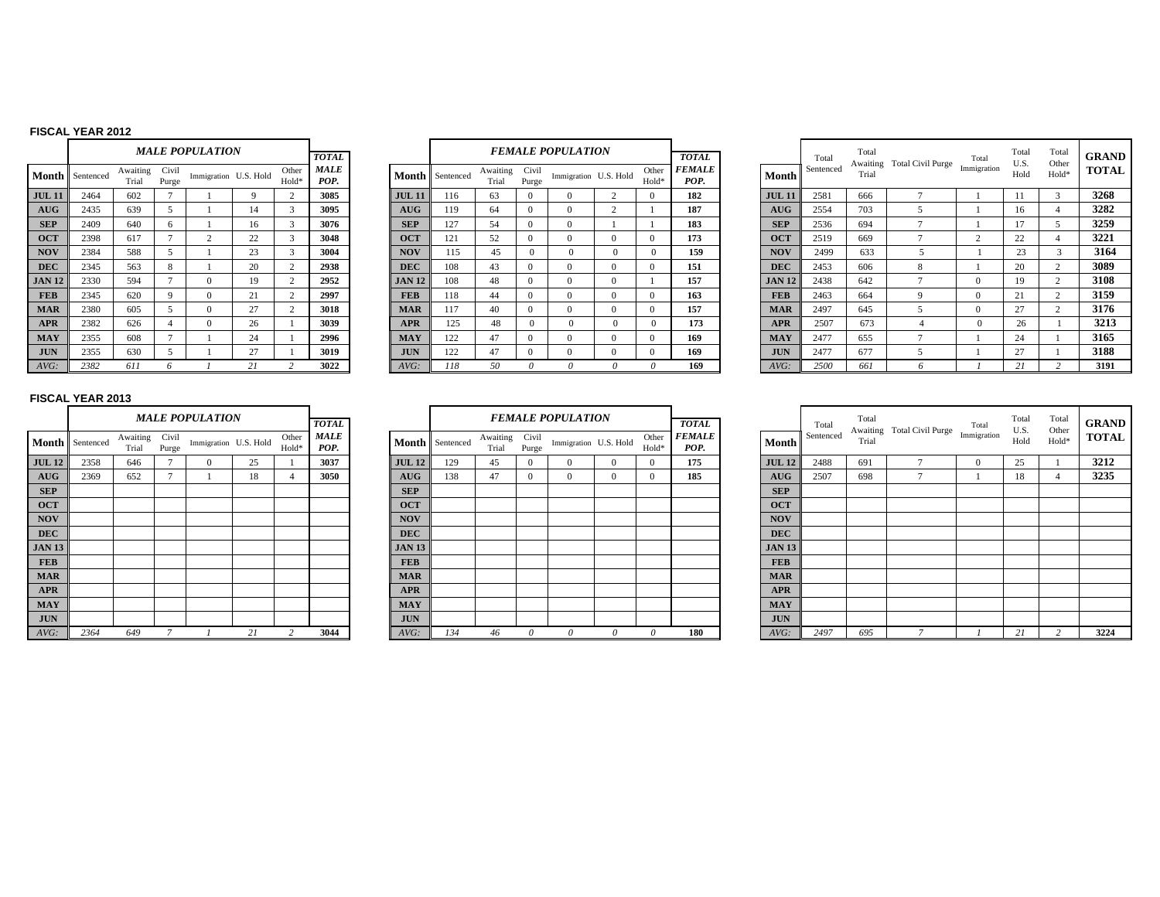### **FISCAL YEAR 2012**

|               |           |                   |                | <b>MALE POPULATION</b> |    |                |                     |
|---------------|-----------|-------------------|----------------|------------------------|----|----------------|---------------------|
|               |           |                   |                |                        |    |                | <b>TOTAL</b>        |
| Month         | Sentenced | Awaiting<br>Trial | Civil<br>Purge | Immigration U.S. Hold  |    | Other<br>Hold* | <b>MALE</b><br>POP. |
| <b>JUL 11</b> | 2464      | 602               | 7              | 1                      | 9  | $\overline{c}$ | 3085                |
| AUG           | 2435      | 639               | 5              | 1                      | 14 | 3              | 3095                |
| <b>SEP</b>    | 2409      | 640               | 6              | 1                      | 16 | 3              | 3076                |
| <b>OCT</b>    | 2398      | 617               | 7              | $\overline{c}$         | 22 | 3              | 3048                |
| <b>NOV</b>    | 2384      | 588               | 5              | 1                      | 23 | 3              | 3004                |
| <b>DEC</b>    | 2345      | 563               | 8              | 1                      | 20 | $\overline{c}$ | 2938                |
| <b>JAN 12</b> | 2330      | 594               | 7              | $\Omega$               | 19 | $\overline{c}$ | 2952                |
| <b>FEB</b>    | 2345      | 620               | 9              | $\Omega$               | 21 | $\mathfrak{D}$ | 2997                |
| <b>MAR</b>    | 2380      | 605               | 5              | $\Omega$               | 27 | $\overline{c}$ | 3018                |
| <b>APR</b>    | 2382      | 626               | 4              | $\Omega$               | 26 | 1              | 3039                |
| <b>MAY</b>    | 2355      | 608               | 7              |                        | 24 | 1              | 2996                |
| <b>JUN</b>    | 2355      | 630               | 5              | 1                      | 27 | 1              | 3019                |
| AVG:          | 2382      | 611               | 6              |                        | 21 | $\mathfrak{D}$ | 3022                |

|           |                   |                | <b>MALE POPULATION</b> |    |                | <b>TOTAL</b>        |               |                 |                   |                | <b>FEMALE POPULATION</b> |              |                | <b>TOTAL</b>          |               | Total     | Total<br>Awaiting | Total Civil Purge |
|-----------|-------------------|----------------|------------------------|----|----------------|---------------------|---------------|-----------------|-------------------|----------------|--------------------------|--------------|----------------|-----------------------|---------------|-----------|-------------------|-------------------|
| Sentenced | Awaiting<br>Trial | Civil<br>Purge | Immigration U.S. Hold  |    | Other<br>Hold* | <b>MALE</b><br>POP. |               | Month Sentenced | Awaiting<br>Trial | Civil<br>Purge | Immigration U.S. Hold    |              | Other<br>Hold* | <b>FEMALE</b><br>POP. | Month         | Sentenced | Trial             |                   |
| 2464      | 602               |                |                        | -9 | $\overline{2}$ | 3085                | <b>JUL 11</b> | 116             | 63                | $\Omega$       |                          | ◠            | $\Omega$       | 182                   | <b>JUL 11</b> | 2581      | 666               |                   |
| 2435      | 639               |                |                        | 14 | $\mathcal{R}$  | 3095                | <b>AUG</b>    | 119             | 64                | $\Omega$       | $\Omega$                 | $\sim$       |                | 187                   | <b>AUG</b>    | 2554      | 703               |                   |
| 2409      | 640               | 6              |                        | 16 | $\mathbf{3}$   | 3076                | <b>SEP</b>    | 127             | 54                | $\Omega$       | $\Omega$                 |              |                | 183                   | <b>SEP</b>    | 2536      | 694               |                   |
| 2398      | 617               |                | $\overline{2}$         | 22 | $\mathbf{z}$   | 3048                | <b>OCT</b>    | 121             | 52                | $\Omega$       | $\Omega$                 | $\Omega$     | $\Omega$       | 173                   | <b>OCT</b>    | 2519      | 669               |                   |
| 2384      | 588               |                |                        | 23 | $\mathcal{R}$  | 3004                | <b>NOV</b>    | 115             | 45                | $\Omega$       | $\Omega$                 | $\mathbf{0}$ | $\Omega$       | 159                   | <b>NOV</b>    | 2499      | 633               |                   |
| 2345      | 563               | 8              |                        | 20 |                | 2938                | <b>DEC</b>    | 108             | 43                | $\Omega$       | $\Omega$                 | $\Omega$     | $\Omega$       | 151                   | <b>DEC</b>    | 2453      | 606               | 8                 |
| 2330      | 594               |                | $\Omega$               | 19 |                | 2952                | <b>JAN 12</b> | 108             | 48                | $\Omega$       | $\Omega$                 | $\Omega$     |                | 157                   | <b>JAN 12</b> | 2438      | 642               | ÷                 |
| 2345      | 620               | $\mathbf Q$    | $\Omega$               | 21 | $\sim$         | 2997                | <b>FEB</b>    | 118             | 44                | $\Omega$       | $\Omega$                 | $\Omega$     | $\Omega$       | 163                   | <b>FEB</b>    | 2463      | 664               | 9                 |
| 2380      | 605               |                | $\Omega$               | 27 |                | 3018                | <b>MAR</b>    | 117             | 40                | $\Omega$       |                          | $\Omega$     | $\Omega$       | 157                   | <b>MAR</b>    | 2497      | 645               |                   |
| 2382      | 626               |                | $\Omega$               | 26 |                | 3039                | <b>APR</b>    | 125             | 48                | $\Omega$       |                          | $\Omega$     |                | 173                   | <b>APR</b>    | 2507      | 673               |                   |
| 2355      | 608               |                |                        | 24 |                | 2996                | <b>MAY</b>    | 122             | 47                | $\Omega$       |                          | $\Omega$     | $\Omega$       | 169                   | <b>MAY</b>    | 2477      | 655               |                   |
| 2355      | 630               |                |                        | 27 |                | 3019                | <b>JUN</b>    | 122             | 47                | $\mathbf{0}$   | $\Omega$                 | $\mathbf{0}$ | $\Omega$       | 169                   | <b>JUN</b>    | 2477      | 677               |                   |
| 2382      | 611               |                |                        | 21 |                | 3022                | AVG:          | 118             | 50                |                | -6                       |              |                | 169                   | AVG:          | 2500      | 661               |                   |

|    |                      |                   |                | <b>MALE POPULATION</b> |     |               | <b>TOTAL</b> |               |                        |                   |                | <b>FEMALE POPULATION</b> |                            | <b>TOTAL</b>                 |               | Total     | Total | Awaiting Total Civil Purge | Total       | Total<br>U.S. | Total<br>Other | <b>GRAND</b> |
|----|----------------------|-------------------|----------------|------------------------|-----|---------------|--------------|---------------|------------------------|-------------------|----------------|--------------------------|----------------------------|------------------------------|---------------|-----------|-------|----------------------------|-------------|---------------|----------------|--------------|
|    | <b>1th</b> Sentenced | Awaiting<br>Trial | Civil<br>Purge | Immigration U.S. Hold  |     | Other<br>Hold | MALE<br>POP. |               | <b>Month</b> Sentenced | Awaiting<br>Trial | Civil<br>Purge | Immigration U.S. Hold    | Other<br>Hold <sup>®</sup> | <i><b>FEMALE</b></i><br>POP. | Month         | Sentenced | Trial |                            | Immigration | Hold          | Hold*          | <b>TOTAL</b> |
| 11 | 2464                 | 602               |                |                        |     |               | 3085         | <b>JUL 11</b> | 116                    | 63                |                |                          |                            | 182                          | <b>JUL 11</b> | 2581      | 666   |                            |             |               |                | 3268         |
|    | 2435                 | 639               |                |                        | 14  |               | 3095         | AUG           | 119                    | 64                |                |                          |                            | 187                          | AUG           | 2554      | 703   |                            |             |               |                | 3282         |
|    | 2409                 | 640               | 6              |                        | 16  |               | 3076         | <b>SEP</b>    | 127                    | 54                |                |                          |                            | 183                          | <b>SEP</b>    | 2536      | 694   |                            |             |               |                | 3259         |
|    | 2398                 | 617               |                |                        | 22  |               | 3048         | <b>OCT</b>    | 121                    | 52                |                |                          |                            | 173                          | <b>OCT</b>    | 2519      | 669   |                            | $\sim$      | 22            |                | 3221         |
|    | 2384                 | 588               |                |                        | 23  |               | 3004         | <b>NOV</b>    | 115                    | 45                |                |                          |                            | 159                          | <b>NOV</b>    | 2499      | 633   |                            |             | 23            |                | 3164         |
|    | 2345                 | 563               | 8              |                        | 20  |               | 2938         | <b>DEC</b>    | 108                    | 43                |                |                          |                            | 151                          | <b>DEC</b>    | 2453      | 606   | 8                          |             | 20            |                | 3089         |
| 12 | 2330                 | 594               |                |                        | 19. |               | 2952         | <b>JAN 12</b> | 108                    | 48                |                |                          |                            | 157                          | <b>JAN 12</b> | 2438      | 642   |                            |             |               |                | 3108         |
|    | 2345                 | 620               | $\Omega$       |                        | 21  |               | 2997         | <b>FEB</b>    | 118                    | 44                |                |                          | $\Omega$                   | 163                          | <b>FEB</b>    | 2463      | 664   |                            |             | 21            |                | 3159         |
|    | 2380                 | 605               |                |                        | 27  |               | 3018         | <b>MAR</b>    | 117                    | 40                |                |                          |                            | 157                          | <b>MAR</b>    | 2497      | 645   |                            | $\Omega$    | 27            |                | 3176         |
|    | 2382                 | 626               |                |                        | 26  |               | 3039         | <b>APR</b>    | 125                    | 48                |                |                          |                            | 173                          | <b>APR</b>    | 2507      | 673   |                            | 0           | 26            |                | 3213         |
|    | 2355                 | 608               |                |                        | 24  |               | 2996         | <b>MAY</b>    | 122                    | 47                |                |                          |                            | 169                          | <b>MAY</b>    | 2477      | 655   |                            |             | 24            |                | 3165         |
|    | 2355                 | 630               |                |                        | 27  |               | 3019         | <b>JUN</b>    | 122                    | 47                |                |                          | ſ                          | 169                          | <b>JUN</b>    | 2477      | 677   |                            |             | 27            |                | 3188         |
|    | 2382                 | 611               |                |                        |     |               | 3022         | AVG:          | 118                    | 50                |                |                          |                            | 169                          | AVG:          | 2500      | 661   |                            |             | $\sim$ 1      |                | 3191         |

## **FISCAL YEAR 2013**

|               |           |                   |                | <b>MALE POPULATION</b> |    |                | <b>TOTAL</b>        |               |           | <b>FEMALE I</b>   |                |
|---------------|-----------|-------------------|----------------|------------------------|----|----------------|---------------------|---------------|-----------|-------------------|----------------|
| Month         | Sentenced | Awaiting<br>Trial | Civil<br>Purge | Immigration U.S. Hold  |    | Other<br>Hold* | <b>MALE</b><br>POP. | Month         | Sentenced | Awaiting<br>Trial | Civil<br>Purge |
| <b>JUL 12</b> | 2358      | 646               | 7              | $\Omega$               | 25 | 1              | 3037                | <b>JUL 12</b> | 129       | 45                | $\mathbf{0}$   |
| AUG           | 2369      | 652               | $\overline{7}$ |                        | 18 | $\overline{4}$ | 3050                | AUG           | 138       | 47                | $\mathbf{0}$   |
| <b>SEP</b>    |           |                   |                |                        |    |                |                     | <b>SEP</b>    |           |                   |                |
| <b>OCT</b>    |           |                   |                |                        |    |                |                     | <b>OCT</b>    |           |                   |                |
| <b>NOV</b>    |           |                   |                |                        |    |                |                     | <b>NOV</b>    |           |                   |                |
| <b>DEC</b>    |           |                   |                |                        |    |                |                     | <b>DEC</b>    |           |                   |                |
| <b>JAN 13</b> |           |                   |                |                        |    |                |                     | <b>JAN 13</b> |           |                   |                |
| <b>FEB</b>    |           |                   |                |                        |    |                |                     | <b>FEB</b>    |           |                   |                |
| <b>MAR</b>    |           |                   |                |                        |    |                |                     | <b>MAR</b>    |           |                   |                |
| <b>APR</b>    |           |                   |                |                        |    |                |                     | <b>APR</b>    |           |                   |                |
| <b>MAY</b>    |           |                   |                |                        |    |                |                     | <b>MAY</b>    |           |                   |                |
| <b>JUN</b>    |           |                   |                |                        |    |                |                     | <b>JUN</b>    |           |                   |                |
| $AVG$ :       | 2364      | 649               | $\overline{7}$ |                        | 21 | 2              | 3044                | $AVG$ :       | 134       | 46                | $\theta$       |

|                         |                      |                   |                | <b>MALE POPULATION</b> |    |                | <b>TOTAL</b>        |               |                 |                   |                | <b>FEMALE POPULATION</b> |          |                | <b>TOTAL</b>                 |               | Total     | Total | Awaiting Total Civil Purge |
|-------------------------|----------------------|-------------------|----------------|------------------------|----|----------------|---------------------|---------------|-----------------|-------------------|----------------|--------------------------|----------|----------------|------------------------------|---------------|-----------|-------|----------------------------|
|                         | <b>1th</b> Sentenced | Awaiting<br>Trial | Civil<br>Purge | Immigration U.S. Hold  |    | Other<br>Hold* | <b>MALE</b><br>POP. |               | Month Sentenced | Awaiting<br>Trial | Civil<br>Purge | Immigration U.S. Hold    |          | Other<br>Hold* | <i><b>FEMALE</b></i><br>POP. | Month         | Sentenced | Trial |                            |
| 12                      | 2358                 | 646               |                |                        | 25 |                | 3037                | <b>JUL 12</b> | 129             | 45                | $\Omega$       |                          | $\Omega$ | $\Omega$       | 175                          | <b>JUL 12</b> | 2488      | 691   | $\mathbf{r}$               |
| G                       | 2369                 | 652               |                |                        | 18 |                | 3050                | <b>AUG</b>    | 138             | 47                |                |                          | $\Omega$ | $\Omega$       | 185                          | <b>AUG</b>    | 2507      | 698   | $\mathbf{r}$               |
| $\mathbf{P}$            |                      |                   |                |                        |    |                |                     | <b>SEP</b>    |                 |                   |                |                          |          |                |                              | <b>SEP</b>    |           |       |                            |
| T.                      |                      |                   |                |                        |    |                |                     | <b>OCT</b>    |                 |                   |                |                          |          |                |                              | <b>OCT</b>    |           |       |                            |
| $\mathbf{V}$            |                      |                   |                |                        |    |                |                     | <b>NOV</b>    |                 |                   |                |                          |          |                |                              | <b>NOV</b>    |           |       |                            |
| $\mathbf{C}$            |                      |                   |                |                        |    |                |                     | <b>DEC</b>    |                 |                   |                |                          |          |                |                              | <b>DEC</b>    |           |       |                            |
| 13                      |                      |                   |                |                        |    |                |                     | <b>JAN 13</b> |                 |                   |                |                          |          |                |                              | <b>JAN 13</b> |           |       |                            |
| B                       |                      |                   |                |                        |    |                |                     | <b>FEB</b>    |                 |                   |                |                          |          |                |                              | <b>FEB</b>    |           |       |                            |
| $\mathbf R$             |                      |                   |                |                        |    |                |                     | <b>MAR</b>    |                 |                   |                |                          |          |                |                              | <b>MAR</b>    |           |       |                            |
| $\overline{\mathbf{R}}$ |                      |                   |                |                        |    |                |                     | <b>APR</b>    |                 |                   |                |                          |          |                |                              | <b>APR</b>    |           |       |                            |
| $\mathbf{v}$            |                      |                   |                |                        |    |                |                     | <b>MAY</b>    |                 |                   |                |                          |          |                |                              | <b>MAY</b>    |           |       |                            |
|                         |                      |                   |                |                        |    |                |                     | <b>JUN</b>    |                 |                   |                |                          |          |                |                              | <b>JUN</b>    |           |       |                            |
| $\tilde{\phantom{a}}$   | 2364                 | 649               |                |                        | 21 |                | 3044                | $AVG$ :       | 134             | 46                | $\theta$       |                          |          | $\Omega$       | 180                          | $AVG$ :       | 2497      | 695   | $\overline{\phantom{0}}$   |

|                 |                      |                   |                | <b>MALE POPULATION</b> |    |                            | <b>TOTAL</b> |               |                 |                   |                | <b>FEMALE POPULATION</b> |                | <b>TOTAL</b>                 |               | Total     | Total |                            | Total       | Total        | Total          | <b>GRAND</b> |
|-----------------|----------------------|-------------------|----------------|------------------------|----|----------------------------|--------------|---------------|-----------------|-------------------|----------------|--------------------------|----------------|------------------------------|---------------|-----------|-------|----------------------------|-------------|--------------|----------------|--------------|
|                 | <b>ith</b> Sentenced | Awaiting<br>Trial | Civil<br>Purge | Immigration U.S. Hold  |    | Other<br>Hold <sup>*</sup> | MALE<br>POP. |               | Month Sentenced | Awaiting<br>Trial | Civil<br>Purge | Immigration U.S. Hold    | Other<br>Hold* | <i><b>FEMALE</b></i><br>POP. | Month         | Sentenced | Trial | Awaiting Total Civil Purge | Immigration | U.S.<br>Hold | Other<br>Hold* | <b>TOTAL</b> |
| 12              | 2358                 | 646               |                |                        | 25 |                            | 3037         | <b>JUL 12</b> | 129             | 45                | 0              |                          | $\Omega$       | 175                          | <b>JUL 12</b> | 2488      | 691   |                            |             | 25           |                | 3212         |
|                 | 2369                 | 652               |                |                        | 18 |                            | 3050         | AUG           | 138             | 47                | 0              |                          |                | 185                          | AUG           | 2507      | 698   |                            |             | 18           |                | 3235         |
|                 |                      |                   |                |                        |    |                            |              | <b>SEP</b>    |                 |                   |                |                          |                |                              | <b>SEP</b>    |           |       |                            |             |              |                |              |
|                 |                      |                   |                |                        |    |                            |              | <b>OCT</b>    |                 |                   |                |                          |                |                              | <b>OCT</b>    |           |       |                            |             |              |                |              |
|                 |                      |                   |                |                        |    |                            |              | <b>NOV</b>    |                 |                   |                |                          |                |                              | <b>NOV</b>    |           |       |                            |             |              |                |              |
|                 |                      |                   |                |                        |    |                            |              | <b>DEC</b>    |                 |                   |                |                          |                |                              | <b>DEC</b>    |           |       |                            |             |              |                |              |
| 13 <sup>7</sup> |                      |                   |                |                        |    |                            |              | <b>JAN 13</b> |                 |                   |                |                          |                |                              | <b>JAN 13</b> |           |       |                            |             |              |                |              |
|                 |                      |                   |                |                        |    |                            |              | <b>FEB</b>    |                 |                   |                |                          |                |                              | <b>FEB</b>    |           |       |                            |             |              |                |              |
| $\mathbf{R}$    |                      |                   |                |                        |    |                            |              | <b>MAR</b>    |                 |                   |                |                          |                |                              | <b>MAR</b>    |           |       |                            |             |              |                |              |
|                 |                      |                   |                |                        |    |                            |              | <b>APR</b>    |                 |                   |                |                          |                |                              | <b>APR</b>    |           |       |                            |             |              |                |              |
|                 |                      |                   |                |                        |    |                            |              | <b>MAY</b>    |                 |                   |                |                          |                |                              | <b>MAY</b>    |           |       |                            |             |              |                |              |
|                 |                      |                   |                |                        |    |                            |              | <b>JUN</b>    |                 |                   |                |                          |                |                              | <b>JUN</b>    |           |       |                            |             |              |                |              |
|                 | 2364                 | 649               |                |                        |    |                            | 3044         | $AVG$ :       | 134             | 46                |                |                          |                | 180                          | $AVG$ :       | 2497      | 695   |                            |             | $\sim$       |                | 3224         |